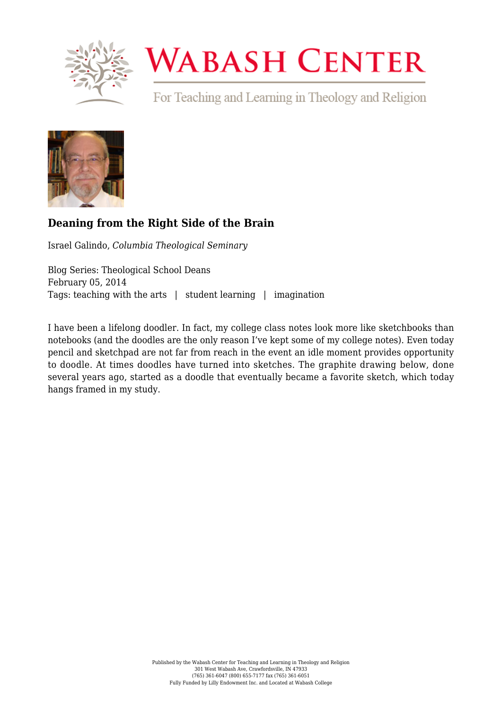

# **WABASH CENTER**

For Teaching and Learning in Theology and Religion



# **[Deaning from the Right Side of the Brain](https://www.wabashcenter.wabash.edu/2014/02/deaning-from-the-right-side-of-the-brain/)**

Israel Galindo, *Columbia Theological Seminary*

Blog Series: Theological School Deans February 05, 2014 Tags: teaching with the arts | student learning | imagination

I have been a lifelong doodler. In fact, my college class notes look more like sketchbooks than notebooks (and the doodles are the only reason I've kept some of my college notes). Even today pencil and sketchpad are not far from reach in the event an idle moment provides opportunity to doodle. At times doodles have turned into sketches. The graphite drawing below, done several years ago, started as a doodle that eventually became a favorite sketch, which today hangs framed in my study.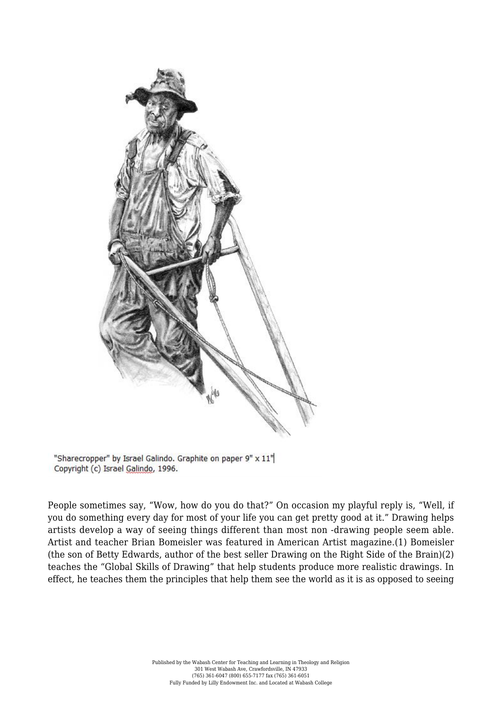

"Sharecropper" by Israel Galindo. Graphite on paper 9" x 11" Copyright (c) Israel Galindo, 1996.

People sometimes say, "Wow, how do you do that?" On occasion my playful reply is, "Well, if you do something every day for most of your life you can get pretty good at it." Drawing helps artists develop a way of seeing things different than most non ‐drawing people seem able. Artist and teacher Brian Bomeisler was featured in American Artist magazine.(1) Bomeisler (the son of Betty Edwards, author of the best seller Drawing on the Right Side of the Brain)(2) teaches the "Global Skills of Drawing" that help students produce more realistic drawings. In effect, he teaches them the principles that help them see the world as it is as opposed to seeing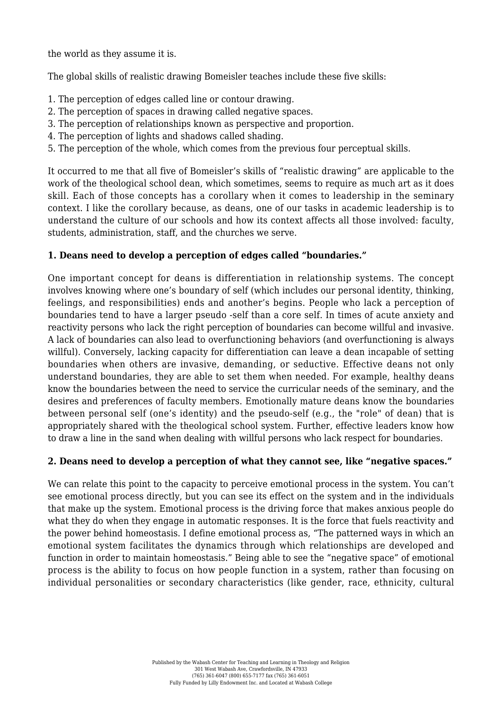the world as they assume it is.

The global skills of realistic drawing Bomeisler teaches include these five skills:

- 1. The perception of edges called line or contour drawing.
- 2. The perception of spaces in drawing called negative spaces.
- 3. The perception of relationships known as perspective and proportion.
- 4. The perception of lights and shadows called shading.
- 5. The perception of the whole, which comes from the previous four perceptual skills.

It occurred to me that all five of Bomeisler's skills of "realistic drawing" are applicable to the work of the theological school dean, which sometimes, seems to require as much art as it does skill. Each of those concepts has a corollary when it comes to leadership in the seminary context. I like the corollary because, as deans, one of our tasks in academic leadership is to understand the culture of our schools and how its context affects all those involved: faculty, students, administration, staff, and the churches we serve.

# **1. Deans need to develop a perception of edges called "boundaries."**

One important concept for deans is differentiation in relationship systems. The concept involves knowing where one's boundary of self (which includes our personal identity, thinking, feelings, and responsibilities) ends and another's begins. People who lack a perception of boundaries tend to have a larger pseudo ‐self than a core self. In times of acute anxiety and reactivity persons who lack the right perception of boundaries can become willful and invasive. A lack of boundaries can also lead to overfunctioning behaviors (and overfunctioning is always willful). Conversely, lacking capacity for differentiation can leave a dean incapable of setting boundaries when others are invasive, demanding, or seductive. Effective deans not only understand boundaries, they are able to set them when needed. For example, healthy deans know the boundaries between the need to service the curricular needs of the seminary, and the desires and preferences of faculty members. Emotionally mature deans know the boundaries between personal self (one's identity) and the pseudo‐self (e.g., the "role" of dean) that is appropriately shared with the theological school system. Further, effective leaders know how to draw a line in the sand when dealing with willful persons who lack respect for boundaries.

# **2. Deans need to develop a perception of what they cannot see, like "negative spaces."**

We can relate this point to the capacity to perceive emotional process in the system. You can't see emotional process directly, but you can see its effect on the system and in the individuals that make up the system. Emotional process is the driving force that makes anxious people do what they do when they engage in automatic responses. It is the force that fuels reactivity and the power behind homeostasis. I define emotional process as, "The patterned ways in which an emotional system facilitates the dynamics through which relationships are developed and function in order to maintain homeostasis." Being able to see the "negative space" of emotional process is the ability to focus on how people function in a system, rather than focusing on individual personalities or secondary characteristics (like gender, race, ethnicity, cultural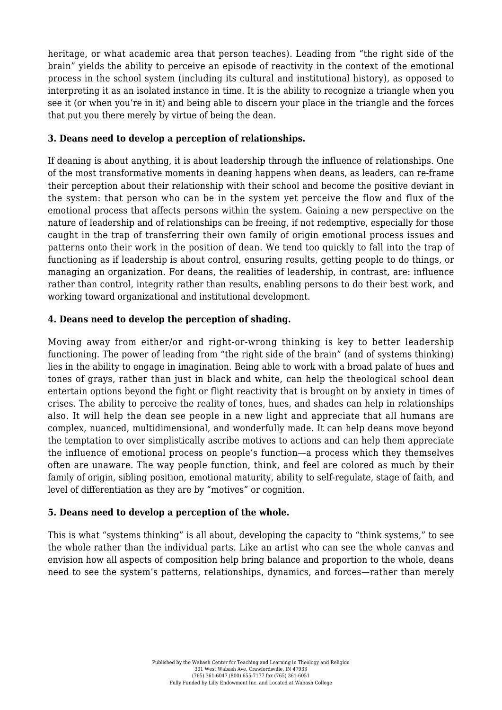heritage, or what academic area that person teaches). Leading from "the right side of the brain" yields the ability to perceive an episode of reactivity in the context of the emotional process in the school system (including its cultural and institutional history), as opposed to interpreting it as an isolated instance in time. It is the ability to recognize a triangle when you see it (or when you're in it) and being able to discern your place in the triangle and the forces that put you there merely by virtue of being the dean.

### **3. Deans need to develop a perception of relationships.**

If deaning is about anything, it is about leadership through the influence of relationships. One of the most transformative moments in deaning happens when deans, as leaders, can re‐frame their perception about their relationship with their school and become the positive deviant in the system: that person who can be in the system yet perceive the flow and flux of the emotional process that affects persons within the system. Gaining a new perspective on the nature of leadership and of relationships can be freeing, if not redemptive, especially for those caught in the trap of transferring their own family of origin emotional process issues and patterns onto their work in the position of dean. We tend too quickly to fall into the trap of functioning as if leadership is about control, ensuring results, getting people to do things, or managing an organization. For deans, the realities of leadership, in contrast, are: influence rather than control, integrity rather than results, enabling persons to do their best work, and working toward organizational and institutional development.

# **4. Deans need to develop the perception of shading.**

Moving away from either/or and right-or-wrong thinking is key to better leadership functioning. The power of leading from "the right side of the brain" (and of systems thinking) lies in the ability to engage in imagination. Being able to work with a broad palate of hues and tones of grays, rather than just in black and white, can help the theological school dean entertain options beyond the fight or flight reactivity that is brought on by anxiety in times of crises. The ability to perceive the reality of tones, hues, and shades can help in relationships also. It will help the dean see people in a new light and appreciate that all humans are complex, nuanced, multidimensional, and wonderfully made. It can help deans move beyond the temptation to over simplistically ascribe motives to actions and can help them appreciate the influence of emotional process on people's function—a process which they themselves often are unaware. The way people function, think, and feel are colored as much by their family of origin, sibling position, emotional maturity, ability to self-regulate, stage of faith, and level of differentiation as they are by "motives" or cognition.

#### **5. Deans need to develop a perception of the whole.**

This is what "systems thinking" is all about, developing the capacity to "think systems," to see the whole rather than the individual parts. Like an artist who can see the whole canvas and envision how all aspects of composition help bring balance and proportion to the whole, deans need to see the system's patterns, relationships, dynamics, and forces—rather than merely